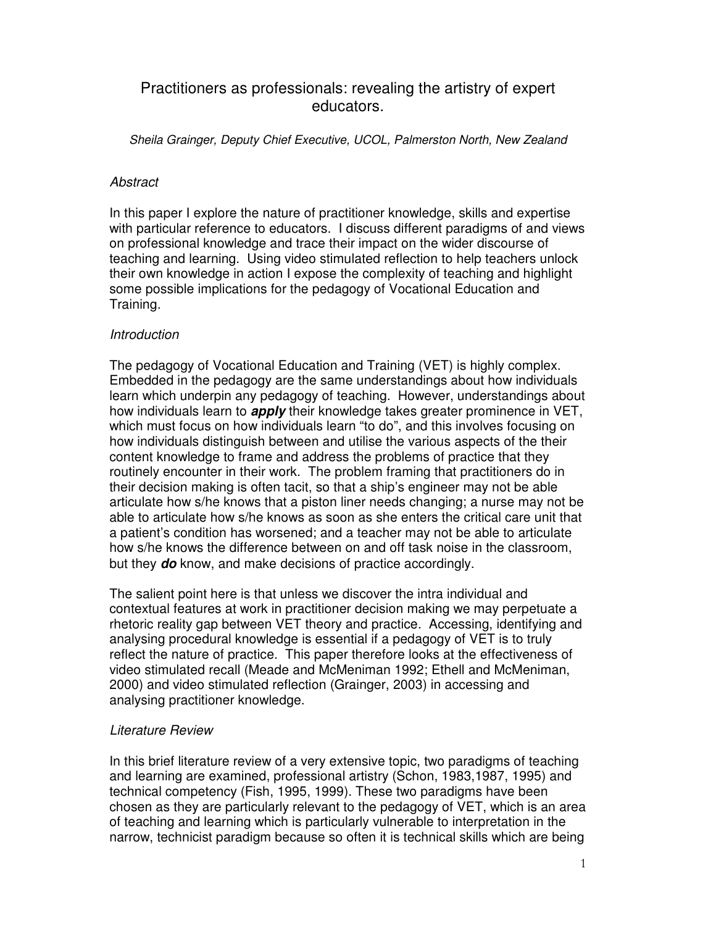# Practitioners as professionals: revealing the artistry of expert educators.

*Sheila Grainger, Deputy Chief Executive, UCOL, Palmerston North, New Zealand*

### *Abstract*

In this paper I explore the nature of practitioner knowledge, skills and expertise with particular reference to educators. I discuss different paradigms of and views on professional knowledge and trace their impact on the wider discourse of teaching and learning. Using video stimulated reflection to help teachers unlock their own knowledge in action I expose the complexity of teaching and highlight some possible implications for the pedagogy of Vocational Education and Training.

### *Introduction*

The pedagogy of Vocational Education and Training (VET) is highly complex. Embedded in the pedagogy are the same understandings about how individuals learn which underpin any pedagogy of teaching. However, understandings about how individuals learn to *apply* their knowledge takes greater prominence in VET, which must focus on how individuals learn "to do", and this involves focusing on how individuals distinguish between and utilise the various aspects of the their content knowledge to frame and address the problems of practice that they routinely encounter in their work. The problem framing that practitioners do in their decision making is often tacit, so that a ship's engineer may not be able articulate how s/he knows that a piston liner needs changing; a nurse may not be able to articulate how s/he knows as soon as she enters the critical care unit that a patient's condition has worsened; and a teacher may not be able to articulate how s/he knows the difference between on and off task noise in the classroom, but they *do* know, and make decisions of practice accordingly.

The salient point here is that unless we discover the intra individual and contextual features at work in practitioner decision making we may perpetuate a rhetoric reality gap between VET theory and practice. Accessing, identifying and analysing procedural knowledge is essential if a pedagogy of VET is to truly reflect the nature of practice. This paper therefore looks at the effectiveness of video stimulated recall (Meade and McMeniman 1992; Ethell and McMeniman, 2000) and video stimulated reflection (Grainger, 2003) in accessing and analysing practitioner knowledge.

## *Literature Review*

In this brief literature review of a very extensive topic, two paradigms of teaching and learning are examined, professional artistry (Schon, 1983,1987, 1995) and technical competency (Fish, 1995, 1999). These two paradigms have been chosen as they are particularly relevant to the pedagogy of VET, which is an area of teaching and learning which is particularly vulnerable to interpretation in the narrow, technicist paradigm because so often it is technical skills which are being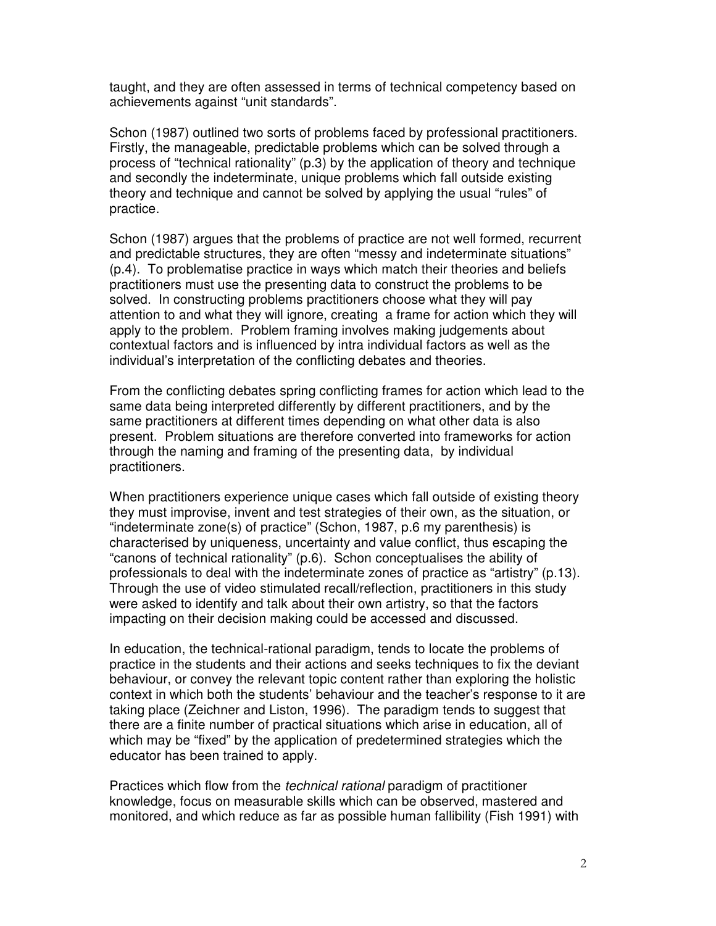achievements against "unit standards".

Schon (1987) outlined two sorts of problems faced by professional practitioners. Firstly, the manageable, predictable problems which can be solved through a process of "technical rationality" (p.3) by the application of theory and technique and secondly the indeterminate, unique problems which fall outside existing theory and technique and cannot be solved by applying the usual "rules" of practice.

Schon (1987) argues that the problems of practice are not well formed, recurrent and predictable structures, they are often "messy and indeterminate situations" (p.4). To problematise practice in ways which match their theories and beliefs practitioners must use the presenting data to construct the problems to be solved. In constructing problems practitioners choose what they will pay attention to and what they will ignore, creating a frame for action which they will apply to the problem. Problem framing involves making judgements about contextual factors and is influenced by intra individual factors as well as the individual's interpretation of the conflicting debates and theories.

From the conflicting debates spring conflicting frames for action which lead to the same data being interpreted differently by different practitioners, and by the same practitioners at different times depending on what other data is also present. Problem situations are therefore converted into frameworks for action through the naming and framing of the presenting data, by individual practitioners.

taught, and they are orbein assessed in terms of technical competency based on Schon (1887) outlined two sorts of problems faced by professional practitioners. Firstly, the manageable, predictable problems which can be sol When practitioners experience unique cases which fall outside of existing theory they must improvise, invent and test strategies of their own, as the situation, or "indeterminate zone(s) of practice" (Schon, 1987, p.6 my parenthesis) is characterised by uniqueness, uncertainty and value conflict, thus escaping the "canons of technical rationality" (p.6). Schon conceptualises the ability of professionals to deal with the indeterminate zones of practice as "artistry" (p.13). Through the use of video stimulated recall/reflection, practitioners in this study were asked to identify and talk about their own artistry, so that the factors impacting on their decision making could be accessed and discussed.

In education, the technical-rational paradigm, tends to locate the problems of practice in the students and their actions and seeks techniques to fix the deviant behaviour, or convey the relevant topic content rather than exploring the holistic context in which both the students' behaviour and the teacher's response to it are taking place (Zeichner and Liston, 1996). The paradigm tends to suggest that there are a finite number of practical situations which arise in education, all of which may be "fixed" by the application of predetermined strategies which the educator has been trained to apply.

Practices which flow from the *technical rational* paradigm of practitioner knowledge, focus on measurable skills which can be observed, mastered and monitored, and which reduce as far as possible human fallibility (Fish 1991) with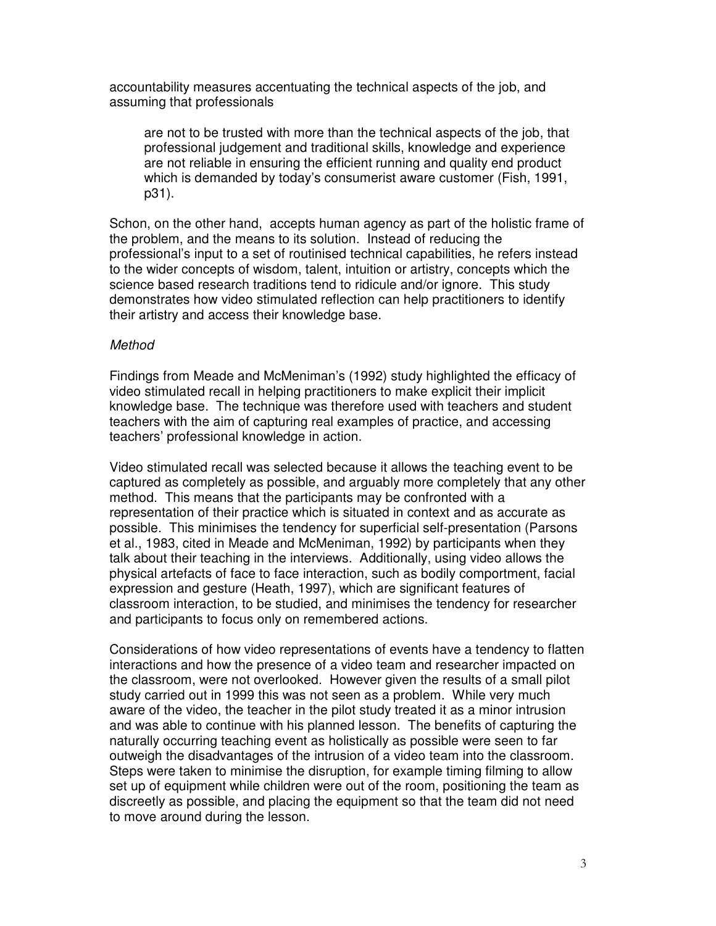accountability measures accentuating the technical aspects of the job, and assuming that professionals

are not to be trusted with more than the technical aspects of the job, that professional judgement and traditional skills, knowledge and experience are not reliable in ensuring the efficient running and quality end product which is demanded by today's consumerist aware customer (Fish, 1991, p31).

Schon, on the other hand, accepts human agency as part of the holistic frame of the problem, and the means to its solution. Instead of reducing the professional's input to a set of routinised technical capabilities, he refers instead to the wider concepts of wisdom, talent, intuition or artistry, concepts which the science based research traditions tend to ridicule and/or ignore. This study demonstrates how video stimulated reflection can help practitioners to identify their artistry and access their knowledge base.

#### *Method*

Findings from Meade and McMeniman's (1992) study highlighted the efficacy of video stimulated recall in helping practitioners to make explicit their implicit knowledge base. The technique was therefore used with teachers and student teachers with the aim of capturing real examples of practice, and accessing teachers' professional knowledge in action.

Video stimulated recall was selected because it allows the teaching event to be captured as completely as possible, and arguably more completely that any other method. This means that the participants may be confronted with a representation of their practice which is situated in context and as accurate as possible. This minimises the tendency for superficial self-presentation (Parsons et al., 1983, cited in Meade and McMeniman, 1992) by participants when they talk about their teaching in the interviews. Additionally, using video allows the physical artefacts of face to face interaction, such as bodily comportment, facial expression and gesture (Heath, 1997), which are significant features of classroom interaction, to be studied, and minimises the tendency for researcher and participants to focus only on remembered actions.

Considerations of how video representations of events have a tendency to flatten interactions and how the presence of a video team and researcher impacted on the classroom, were not overlooked. However given the results of a small pilot study carried out in 1999 this was not seen as a problem. While very much aware of the video, the teacher in the pilot study treated it as a minor intrusion and was able to continue with his planned lesson. The benefits of capturing the naturally occurring teaching event as holistically as possible were seen to far outweigh the disadvantages of the intrusion of a video team into the classroom. Steps were taken to minimise the disruption, for example timing filming to allow set up of equipment while children were out of the room, positioning the team as discreetly as possible, and placing the equipment so that the team did not need to move around during the lesson.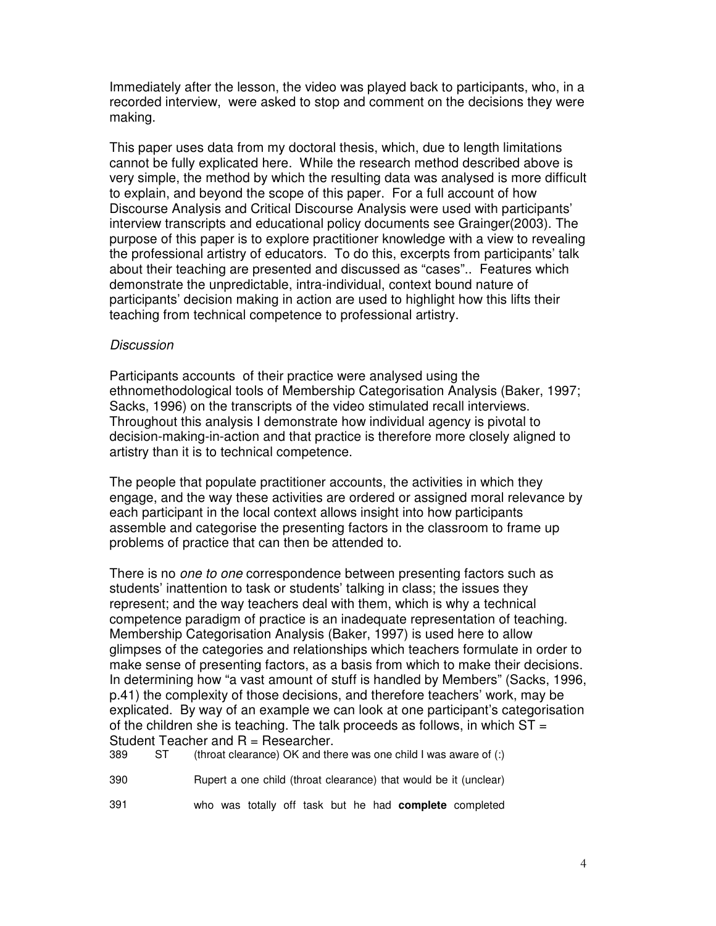Immediately after the lesson, the video was played back to participants, who, in a recorded interview, were asked to stop and comment on the decisions they were making.

This paper uses data from my doctoral thesis, which, due to length limitations cannot be fully explicated here. While the research method described above is very simple, the method by which the resulting data was analysed is more difficult to explain, and beyond the scope of this paper. For a full account of how Discourse Analysis and Critical Discourse Analysis were used with participants' interview transcripts and educational policy documents see Grainger(2003). The purpose of this paper is to explore practitioner knowledge with a view to revealing the professional artistry of educators. To do this, excerpts from participants' talk about their teaching are presented and discussed as "cases".. Features which demonstrate the unpredictable, intra-individual, context bound nature of participants' decision making in action are used to highlight how this lifts their teaching from technical competence to professional artistry.

#### *Discussion*

Participants accounts of their practice were analysed using the ethnomethodological tools of Membership Categorisation Analysis (Baker, 1997; Sacks, 1996) on the transcripts of the video stimulated recall interviews. Throughout this analysis I demonstrate how individual agency is pivotal to decision-making-in-action and that practice is therefore more closely aligned to artistry than it is to technical competence.

The people that populate practitioner accounts, the activities in which they engage, and the way these activities are ordered or assigned moral relevance by each participant in the local context allows insight into how participants assemble and categorise the presenting factors in the classroom to frame up problems of practice that can then be attended to.

There is no *one to one* correspondence between presenting factors such as students' inattention to task or students' talking in class; the issues they represent; and the way teachers deal with them, which is why a technical competence paradigm of practice is an inadequate representation of teaching. Membership Categorisation Analysis (Baker, 1997) is used here to allow glimpses of the categories and relationships which teachers formulate in order to make sense of presenting factors, as a basis from which to make their decisions. In determining how "a vast amount of stuff is handled by Members" (Sacks, 1996, p.41) the complexity of those decisions, and therefore teachers' work, may be explicated. By way of an example we can look at one participant's categorisation of the children she is teaching. The talk proceeds as follows, in which  $ST =$ Student Teacher and  $R =$  Researcher.

389 ST (throat clearance) OK and there was one child I was aware of (:)

390 Rupert a one child (throat clearance) that would be it (unclear)

391 who was totally off task but he had **complete** completed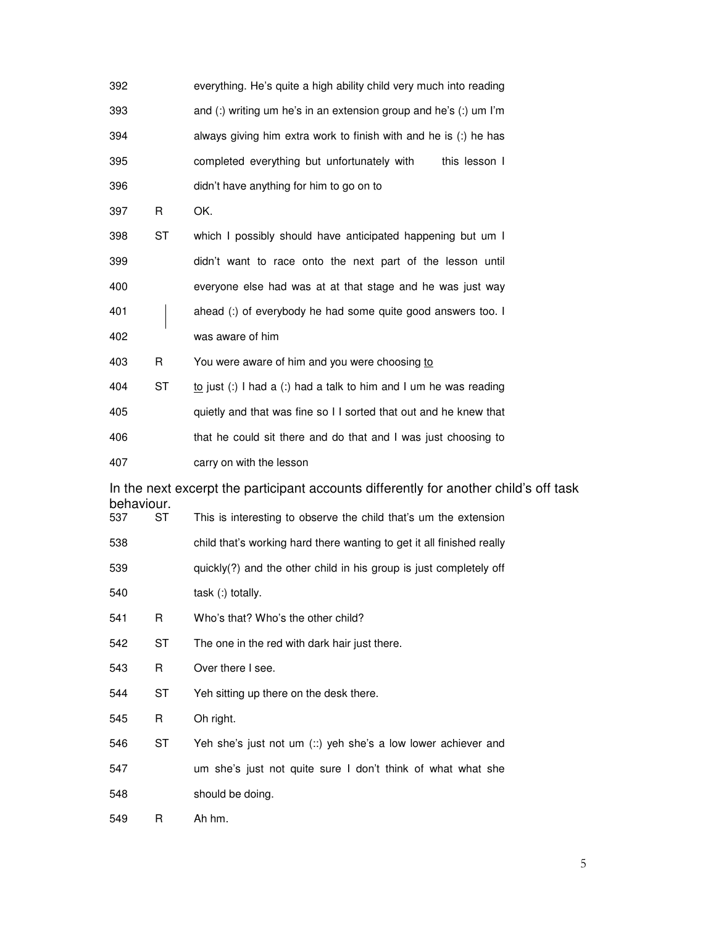| 392                                                                                   |           | everything. He's quite a high ability child very much into reading    |  |  |  |  |
|---------------------------------------------------------------------------------------|-----------|-----------------------------------------------------------------------|--|--|--|--|
| 393                                                                                   |           | and (:) writing um he's in an extension group and he's (:) um I'm     |  |  |  |  |
| 394                                                                                   |           | always giving him extra work to finish with and he is (:) he has      |  |  |  |  |
| 395                                                                                   |           | completed everything but unfortunately with<br>this lesson I          |  |  |  |  |
| 396                                                                                   |           | didn't have anything for him to go on to                              |  |  |  |  |
| 397                                                                                   | R         | OK.                                                                   |  |  |  |  |
| 398                                                                                   | ST        | which I possibly should have anticipated happening but um I           |  |  |  |  |
| 399                                                                                   |           | didn't want to race onto the next part of the lesson until            |  |  |  |  |
| 400                                                                                   |           | everyone else had was at at that stage and he was just way            |  |  |  |  |
| 401                                                                                   |           | ahead (:) of everybody he had some quite good answers too. I          |  |  |  |  |
| 402                                                                                   |           | was aware of him                                                      |  |  |  |  |
| 403                                                                                   | R         | You were aware of him and you were choosing to                        |  |  |  |  |
| 404                                                                                   | SТ        | to just (:) I had a (:) had a talk to him and I um he was reading     |  |  |  |  |
| 405                                                                                   |           | quietly and that was fine so I I sorted that out and he knew that     |  |  |  |  |
| 406                                                                                   |           | that he could sit there and do that and I was just choosing to        |  |  |  |  |
| 407                                                                                   |           | carry on with the lesson                                              |  |  |  |  |
| In the next excerpt the participant accounts differently for another child's off task |           |                                                                       |  |  |  |  |
| behaviour.<br>537                                                                     | <b>ST</b> | This is interesting to observe the child that's um the extension      |  |  |  |  |
| 538                                                                                   |           | child that's working hard there wanting to get it all finished really |  |  |  |  |
| 539                                                                                   |           | quickly(?) and the other child in his group is just completely off    |  |  |  |  |
| 540                                                                                   |           | task (:) totally.                                                     |  |  |  |  |
| 541                                                                                   | R         | Who's that? Who's the other child?                                    |  |  |  |  |
| 542                                                                                   | ST        | The one in the red with dark hair just there.                         |  |  |  |  |
| 543                                                                                   | R         | Over there I see.                                                     |  |  |  |  |
| 544                                                                                   | ST        | Yeh sitting up there on the desk there.                               |  |  |  |  |
| 545                                                                                   | R         | Oh right.                                                             |  |  |  |  |
| 546                                                                                   | <b>ST</b> | Yeh she's just not um (::) yeh she's a low lower achiever and         |  |  |  |  |
| 547                                                                                   |           | um she's just not quite sure I don't think of what what she           |  |  |  |  |
| 548                                                                                   |           | should be doing.                                                      |  |  |  |  |
| 549                                                                                   | R         | Ah hm.                                                                |  |  |  |  |

 $\overline{5}$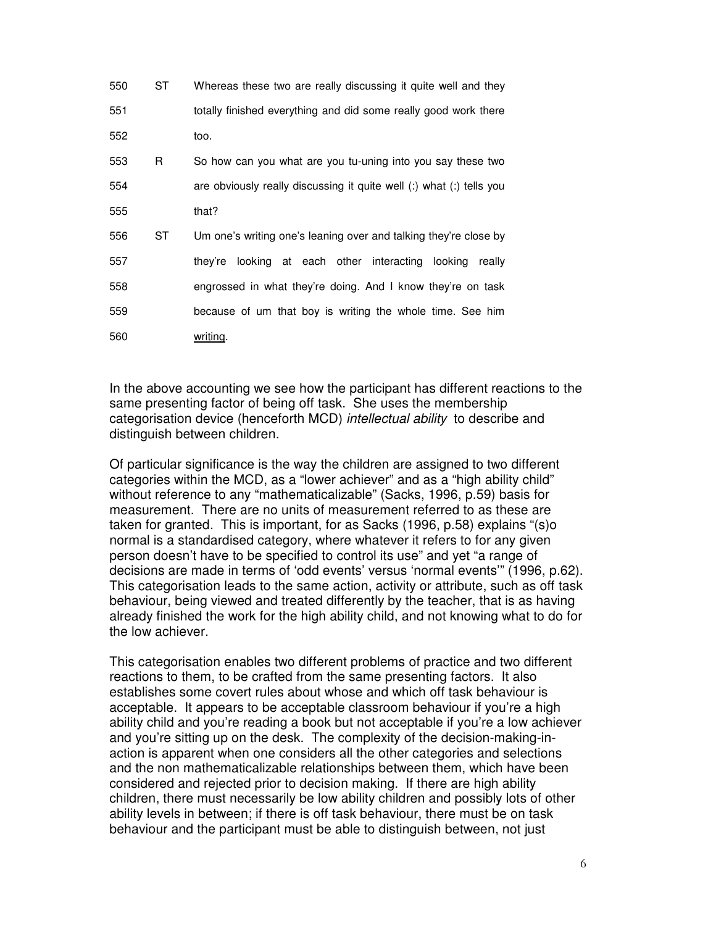| 550 | ST | Whereas these two are really discussing it quite well and they       |
|-----|----|----------------------------------------------------------------------|
| 551 |    | totally finished everything and did some really good work there      |
| 552 |    | too.                                                                 |
| 553 | R  | So how can you what are you tu-uning into you say these two          |
| 554 |    | are obviously really discussing it quite well (:) what (:) tells you |
| 555 |    | that?                                                                |
| 556 | ST | Um one's writing one's leaning over and talking they're close by     |
| 557 |    | looking at each other interacting looking really<br>thev're          |
| 558 |    | engrossed in what they're doing. And I know they're on task          |
| 559 |    | because of um that boy is writing the whole time. See him            |
| 560 |    | writing.                                                             |

In the above accounting we see how the participant has different reactions to the same presenting factor of being off task. She uses the membership categorisation device (henceforth MCD) *intellectual ability* to describe and distinguish between children.

Of particular significance is the way the children are assigned to two different categories within the MCD, as a "lower achiever" and as a "high ability child" without reference to any "mathematicalizable" (Sacks, 1996, p.59) basis for measurement. There are no units of measurement referred to as these are taken for granted. This is important, for as Sacks (1996, p.58) explains "(s)o normal is a standardised category, where whatever it refers to for any given person doesn't have to be specified to control its use" and yet "a range of decisions are made in terms of 'odd events' versus 'normal events'" (1996, p.62). This categorisation leads to the same action, activity or attribute, such as off task behaviour, being viewed and treated differently by the teacher, that is as having already finished the work for the high ability child, and not knowing what to do for the low achiever.

This categorisation enables two different problems of practice and two different reactions to them, to be crafted from the same presenting factors. It also establishes some covert rules about whose and which off task behaviour is acceptable. It appears to be acceptable classroom behaviour if you're a high ability child and you're reading a book but not acceptable if you're a low achiever and you're sitting up on the desk. The complexity of the decision-making-inaction is apparent when one considers all the other categories and selections and the non mathematicalizable relationships between them, which have been considered and rejected prior to decision making. If there are high ability children, there must necessarily be low ability children and possibly lots of other ability levels in between; if there is off task behaviour, there must be on task behaviour and the participant must be able to distinguish between, not just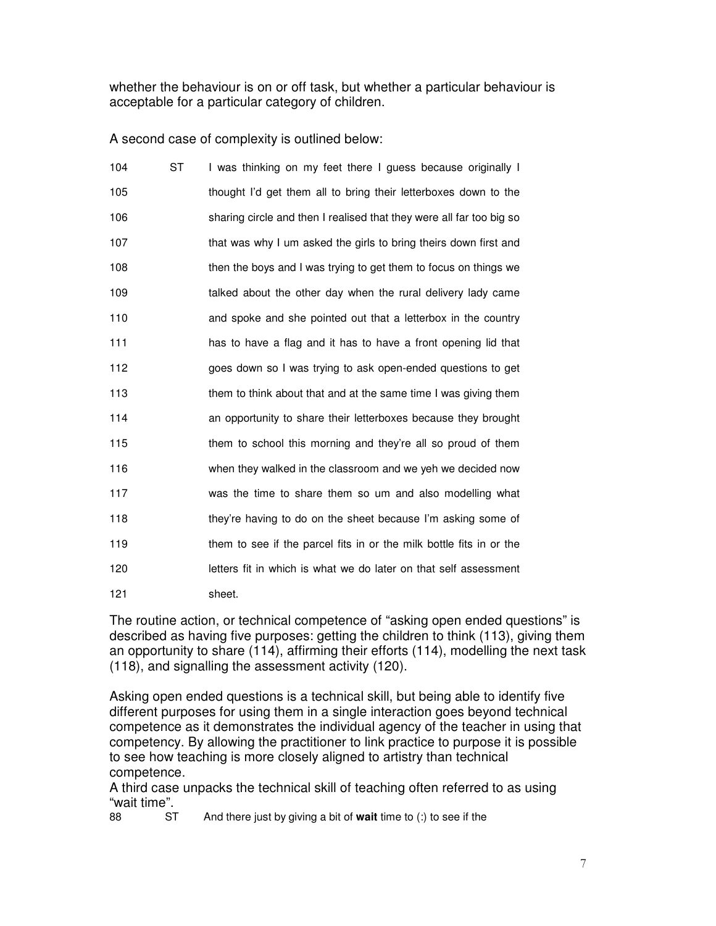whether the behaviour is on or off task, but whether a particular behaviour is acceptable for a particular category of children.

A second case of complexity is outlined below:

| 104 | <b>ST</b> | I was thinking on my feet there I guess because originally I         |
|-----|-----------|----------------------------------------------------------------------|
| 105 |           | thought I'd get them all to bring their letterboxes down to the      |
| 106 |           | sharing circle and then I realised that they were all far too big so |
| 107 |           | that was why I um asked the girls to bring theirs down first and     |
| 108 |           | then the boys and I was trying to get them to focus on things we     |
| 109 |           | talked about the other day when the rural delivery lady came         |
| 110 |           | and spoke and she pointed out that a letterbox in the country        |
| 111 |           | has to have a flag and it has to have a front opening lid that       |
| 112 |           | goes down so I was trying to ask open-ended questions to get         |
| 113 |           | them to think about that and at the same time I was giving them      |
| 114 |           | an opportunity to share their letterboxes because they brought       |
| 115 |           | them to school this morning and they're all so proud of them         |
| 116 |           | when they walked in the classroom and we yeh we decided now          |
| 117 |           | was the time to share them so um and also modelling what             |
| 118 |           | they're having to do on the sheet because I'm asking some of         |
| 119 |           | them to see if the parcel fits in or the milk bottle fits in or the  |
| 120 |           | letters fit in which is what we do later on that self assessment     |
| 121 |           | sheet.                                                               |

The routine action, or technical competence of "asking open ended questions" is described as having five purposes: getting the children to think (113), giving them an opportunity to share (114), affirming their efforts (114), modelling the next task (118), and signalling the assessment activity (120).

Asking open ended questions is a technical skill, but being able to identify five different purposes for using them in a single interaction goes beyond technical competence as it demonstrates the individual agency of the teacher in using that competency. By allowing the practitioner to link practice to purpose it is possible to see how teaching is more closely aligned to artistry than technical competence.

A third case unpacks the technical skill of teaching often referred to as using "wait time".

And there just by giving a bit of **wait** time to (:) to see if the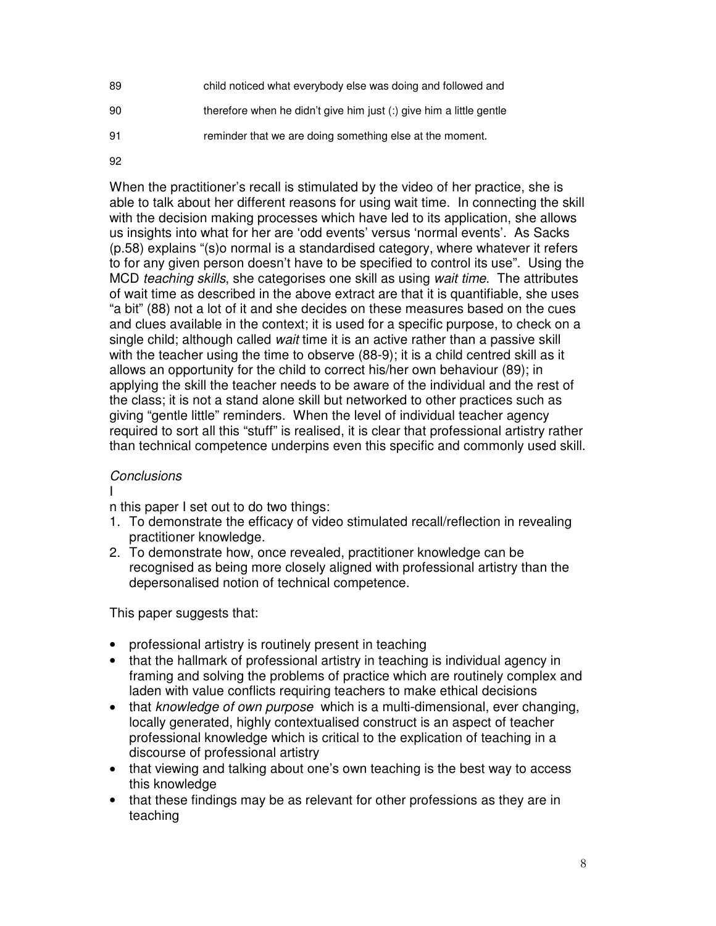- 89 child noticed what everybody else was doing and followed and
- 90 therefore when he didn't give him just (:) give him a little gentle
- 91 reminder that we are doing something else at the moment.
- 92

When the practitioner's recall is stimulated by the video of her practice, she is able to talk about her different reasons for using wait time. In connecting the skill with the decision making processes which have led to its application, she allows us insights into what for her are 'odd events' versus 'normal events'. As Sacks (p.58) explains "(s)o normal is a standardised category, where whatever it refers to for any given person doesn't have to be specified to control its use". Using the MCD *teaching skills*, she categorises one skill as using *wait time*. The attributes of wait time as described in the above extract are that it is quantifiable, she uses "a bit" (88) not a lot of it and she decides on these measures based on the cues and clues available in the context; it is used for a specific purpose, to check on a single child; although called *wait* time it is an active rather than a passive skill with the teacher using the time to observe (88-9); it is a child centred skill as it allows an opportunity for the child to correct his/her own behaviour (89); in applying the skill the teacher needs to be aware of the individual and the rest of the class; it is not a stand alone skill but networked to other practices such as giving "gentle little" reminders. When the level of individual teacher agency required to sort all this "stuff" is realised, it is clear that professional artistry rather than technical competence underpins even this specific and commonly used skill.

# *Conclusions*

I

n this paper I set out to do two things:

- 1. To demonstrate the efficacy of video stimulated recall/reflection in revealing practitioner knowledge.
- 2. To demonstrate how, once revealed, practitioner knowledge can be recognised as being more closely aligned with professional artistry than the depersonalised notion of technical competence.

This paper suggests that:

- professional artistry is routinely present in teaching
- that the hallmark of professional artistry in teaching is individual agency in framing and solving the problems of practice which are routinely complex and laden with value conflicts requiring teachers to make ethical decisions
- that *knowledge of own purpose* which is a multi-dimensional, ever changing, locally generated, highly contextualised construct is an aspect of teacher professional knowledge which is critical to the explication of teaching in a discourse of professional artistry
- that viewing and talking about one's own teaching is the best way to access this knowledge
- that these findings may be as relevant for other professions as they are in teaching